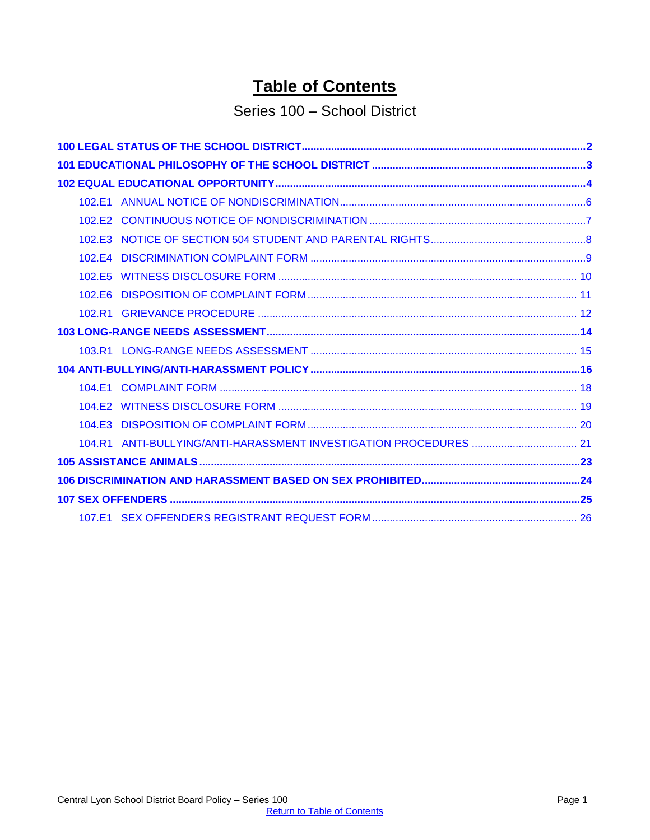# **Table of Contents**

# Series 100 - School District

<span id="page-0-0"></span>

| 102.E3 |  |
|--------|--|
|        |  |
| 102.E5 |  |
| 102.E6 |  |
|        |  |
|        |  |
|        |  |
|        |  |
|        |  |
|        |  |
|        |  |
|        |  |
|        |  |
|        |  |
|        |  |
|        |  |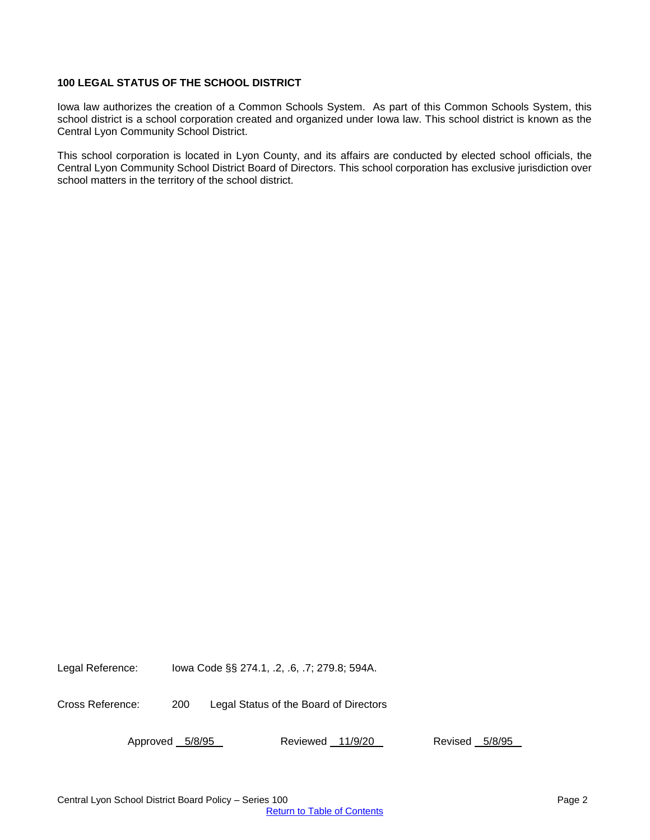## <span id="page-1-0"></span>**100 LEGAL STATUS OF THE SCHOOL DISTRICT**

Iowa law authorizes the creation of a Common Schools System. As part of this Common Schools System, this school district is a school corporation created and organized under Iowa law. This school district is known as the Central Lyon Community School District.

This school corporation is located in Lyon County, and its affairs are conducted by elected school officials, the Central Lyon Community School District Board of Directors. This school corporation has exclusive jurisdiction over school matters in the territory of the school district.

Legal Reference: Iowa Code §§ 274.1, .2, .6, .7; 279.8; 594A.

Cross Reference: 200 Legal Status of the Board of Directors

Approved 5/8/95 Reviewed 11/9/20 Revised 5/8/95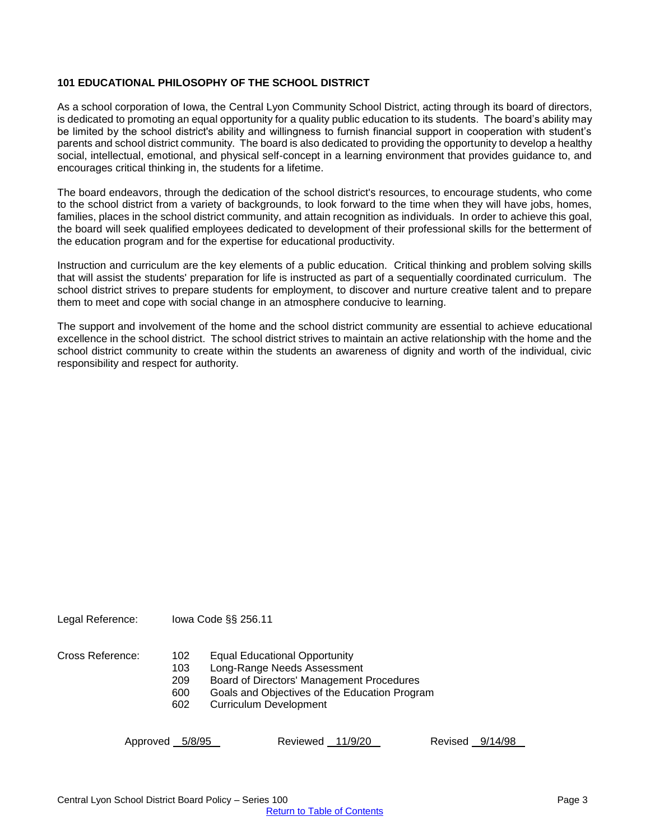#### <span id="page-2-0"></span>**101 EDUCATIONAL PHILOSOPHY OF THE SCHOOL DISTRICT**

As a school corporation of Iowa, the Central Lyon Community School District, acting through its board of directors, is dedicated to promoting an equal opportunity for a quality public education to its students. The board's ability may be limited by the school district's ability and willingness to furnish financial support in cooperation with student's parents and school district community. The board is also dedicated to providing the opportunity to develop a healthy social, intellectual, emotional, and physical self-concept in a learning environment that provides guidance to, and encourages critical thinking in, the students for a lifetime.

The board endeavors, through the dedication of the school district's resources, to encourage students, who come to the school district from a variety of backgrounds, to look forward to the time when they will have jobs, homes, families, places in the school district community, and attain recognition as individuals. In order to achieve this goal, the board will seek qualified employees dedicated to development of their professional skills for the betterment of the education program and for the expertise for educational productivity.

Instruction and curriculum are the key elements of a public education. Critical thinking and problem solving skills that will assist the students' preparation for life is instructed as part of a sequentially coordinated curriculum. The school district strives to prepare students for employment, to discover and nurture creative talent and to prepare them to meet and cope with social change in an atmosphere conducive to learning.

The support and involvement of the home and the school district community are essential to achieve educational excellence in the school district. The school district strives to maintain an active relationship with the home and the school district community to create within the students an awareness of dignity and worth of the individual, civic responsibility and respect for authority.

Legal Reference: Iowa Code §§ 256.11

Cross Reference: 102 Equal Educational Opportunity

103 Long-Range Needs Assessment

209 Board of Directors' Management Procedures

600 Goals and Objectives of the Education Program

602 Curriculum Development

Approved 5/8/95 Reviewed 11/9/20 Revised 9/14/98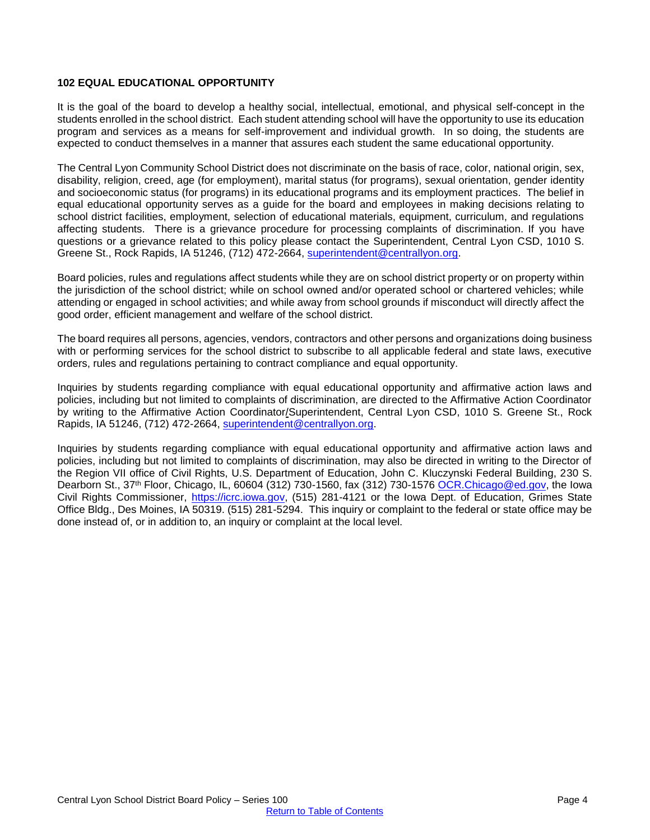#### <span id="page-3-0"></span>**102 EQUAL EDUCATIONAL OPPORTUNITY**

It is the goal of the board to develop a healthy social, intellectual, emotional, and physical self-concept in the students enrolled in the school district. Each student attending school will have the opportunity to use its education program and services as a means for self-improvement and individual growth. In so doing, the students are expected to conduct themselves in a manner that assures each student the same educational opportunity.

The Central Lyon Community School District does not discriminate on the basis of race, color, national origin, sex, disability, religion, creed, age (for employment), marital status (for programs), sexual orientation, gender identity and socioeconomic status (for programs) in its educational programs and its employment practices. The belief in equal educational opportunity serves as a guide for the board and employees in making decisions relating to school district facilities, employment, selection of educational materials, equipment, curriculum, and regulations affecting students. There is a grievance procedure for processing complaints of discrimination. If you have questions or a grievance related to this policy please contact the Superintendent, Central Lyon CSD, 1010 S. Greene St., Rock Rapids, IA 51246, (712) 472-2664, [superintendent@centrallyon.org.](mailto:superintendent@centrallyon.org)

Board policies, rules and regulations affect students while they are on school district property or on property within the jurisdiction of the school district; while on school owned and/or operated school or chartered vehicles; while attending or engaged in school activities; and while away from school grounds if misconduct will directly affect the good order, efficient management and welfare of the school district.

The board requires all persons, agencies, vendors, contractors and other persons and organizations doing business with or performing services for the school district to subscribe to all applicable federal and state laws, executive orders, rules and regulations pertaining to contract compliance and equal opportunity.

Inquiries by students regarding compliance with equal educational opportunity and affirmative action laws and policies, including but not limited to complaints of discrimination, are directed to the Affirmative Action Coordinator by writing to the Affirmative Action Coordinator/Superintendent, Central Lyon CSD, 1010 S. Greene St., Rock Rapids, IA 51246, (712) 472-2664, [superintendent@centrallyon.org.](mailto:superintendent@centrallyon.org)

Inquiries by students regarding compliance with equal educational opportunity and affirmative action laws and policies, including but not limited to complaints of discrimination, may also be directed in writing to the Director of the Region VII office of Civil Rights, U.S. Department of Education, John C. Kluczynski Federal Building, 230 S. Dearborn St., 37th Floor, Chicago, IL, 60604 (312) 730-1560, fax (312) 730-1576 [OCR.Chicago@ed.gov,](mailto:OCR.Chicago@ed.gov) the Iowa Civil Rights Commissioner, [https://icrc.iowa.gov,](https://icrc.iowa.gov/) (515) 281-4121 or the Iowa Dept. of Education, Grimes State Office Bldg., Des Moines, IA 50319. (515) 281-5294. This inquiry or complaint to the federal or state office may be done instead of, or in addition to, an inquiry or complaint at the local level.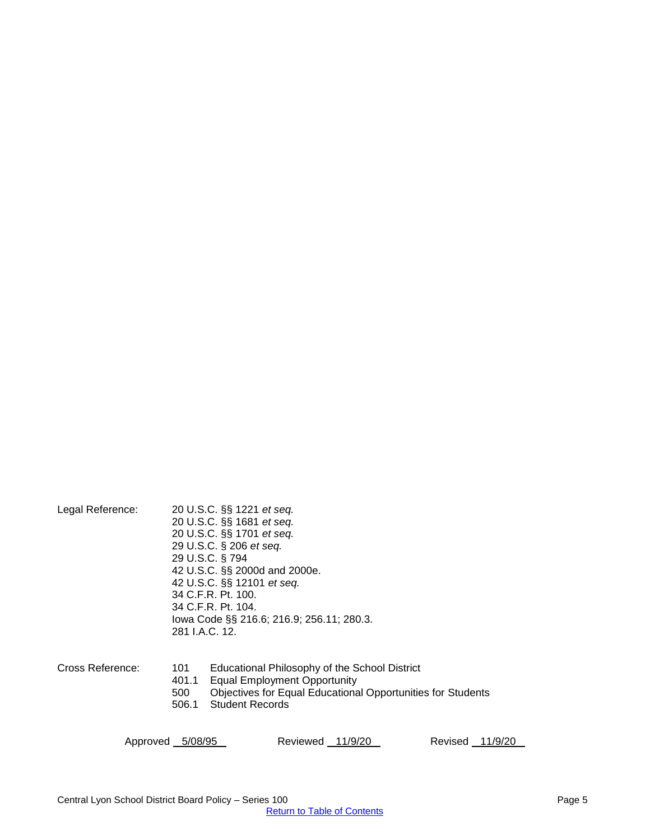| Legal Reference: | 281 LA.C. 12.                | 20 U.S.C. §§ 1221 <i>et seq.</i><br>20 U.S.C. §§ 1681 et seq.<br>20 U.S.C. §§ 1701 et seq.<br>29 U.S.C. § 206 et seq.<br>29 U.S.C. § 794<br>42 U.S.C. §§ 2000d and 2000e.<br>42 U.S.C. §§ 12101 et seq.<br>34 C.F.R. Pt. 100.<br>34 C.F.R. Pt. 104.<br>lowa Code §§ 216.6; 216.9; 256.11; 280.3. |
|------------------|------------------------------|--------------------------------------------------------------------------------------------------------------------------------------------------------------------------------------------------------------------------------------------------------------------------------------------------|
| Cross Reference: | 101<br>401.1<br>500<br>506.1 | Educational Philosophy of the School District<br><b>Equal Employment Opportunity</b><br><b>Objectives for Equal Educational Opportunities for Students</b><br><b>Student Records</b>                                                                                                             |

Approved 5/08/95 Reviewed 11/9/20 Revised 11/9/20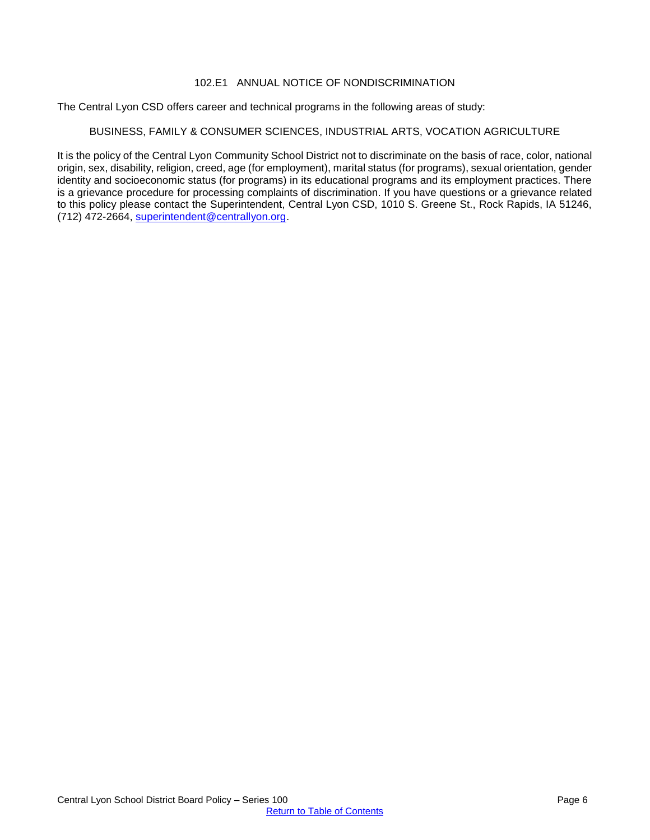#### 102.E1 ANNUAL NOTICE OF NONDISCRIMINATION

<span id="page-5-0"></span>The Central Lyon CSD offers career and technical programs in the following areas of study:

## BUSINESS, FAMILY & CONSUMER SCIENCES, INDUSTRIAL ARTS, VOCATION AGRICULTURE

It is the policy of the Central Lyon Community School District not to discriminate on the basis of race, color, national origin, sex, disability, religion, creed, age (for employment), marital status (for programs), sexual orientation, gender identity and socioeconomic status (for programs) in its educational programs and its employment practices. There is a grievance procedure for processing complaints of discrimination. If you have questions or a grievance related to this policy please contact the Superintendent, Central Lyon CSD, 1010 S. Greene St., Rock Rapids, IA 51246, (712) 472-2664, [superintendent@centrallyon.org.](mailto:superintendent@centrallyon.org)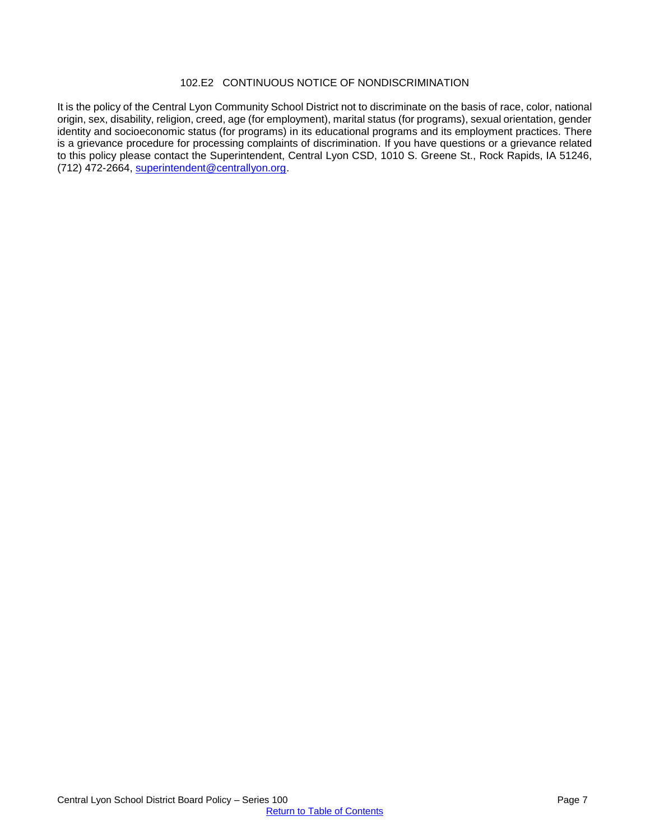#### 102.E2 CONTINUOUS NOTICE OF NONDISCRIMINATION

<span id="page-6-0"></span>It is the policy of the Central Lyon Community School District not to discriminate on the basis of race, color, national origin, sex, disability, religion, creed, age (for employment), marital status (for programs), sexual orientation, gender identity and socioeconomic status (for programs) in its educational programs and its employment practices. There is a grievance procedure for processing complaints of discrimination. If you have questions or a grievance related to this policy please contact the Superintendent, Central Lyon CSD, 1010 S. Greene St., Rock Rapids, IA 51246, (712) 472-2664, [superintendent@centrallyon.org.](mailto:superintendent@centrallyon.org)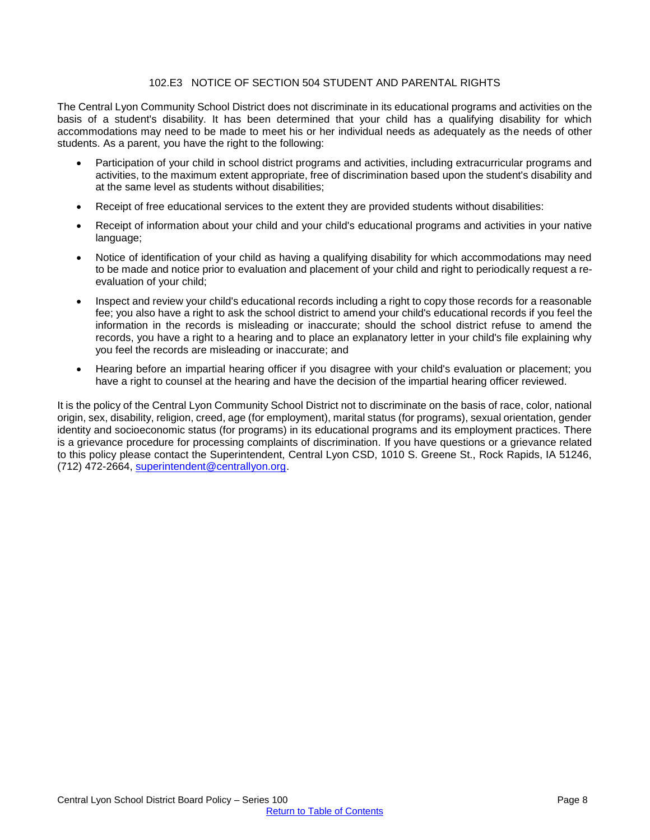## 102.E3 NOTICE OF SECTION 504 STUDENT AND PARENTAL RIGHTS

<span id="page-7-0"></span>The Central Lyon Community School District does not discriminate in its educational programs and activities on the basis of a student's disability. It has been determined that your child has a qualifying disability for which accommodations may need to be made to meet his or her individual needs as adequately as the needs of other students. As a parent, you have the right to the following:

- Participation of your child in school district programs and activities, including extracurricular programs and activities, to the maximum extent appropriate, free of discrimination based upon the student's disability and at the same level as students without disabilities;
- Receipt of free educational services to the extent they are provided students without disabilities:
- Receipt of information about your child and your child's educational programs and activities in your native language;
- Notice of identification of your child as having a qualifying disability for which accommodations may need to be made and notice prior to evaluation and placement of your child and right to periodically request a reevaluation of your child;
- Inspect and review your child's educational records including a right to copy those records for a reasonable fee; you also have a right to ask the school district to amend your child's educational records if you feel the information in the records is misleading or inaccurate; should the school district refuse to amend the records, you have a right to a hearing and to place an explanatory letter in your child's file explaining why you feel the records are misleading or inaccurate; and
- Hearing before an impartial hearing officer if you disagree with your child's evaluation or placement; you have a right to counsel at the hearing and have the decision of the impartial hearing officer reviewed.

It is the policy of the Central Lyon Community School District not to discriminate on the basis of race, color, national origin, sex, disability, religion, creed, age (for employment), marital status (for programs), sexual orientation, gender identity and socioeconomic status (for programs) in its educational programs and its employment practices. There is a grievance procedure for processing complaints of discrimination. If you have questions or a grievance related to this policy please contact the Superintendent, Central Lyon CSD, 1010 S. Greene St., Rock Rapids, IA 51246, (712) 472-2664, [superintendent@centrallyon.org.](mailto:superintendent@centrallyon.org)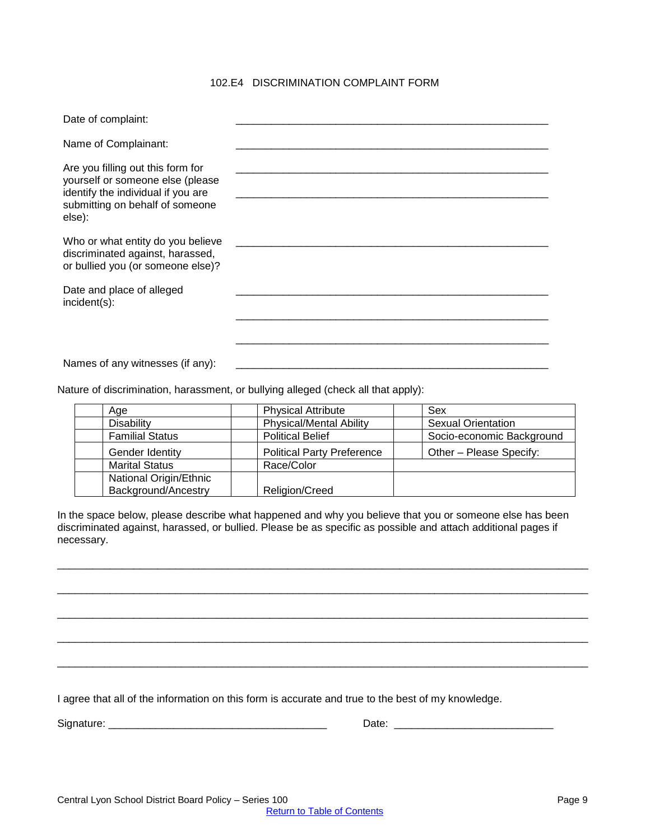## 102.E4 DISCRIMINATION COMPLAINT FORM

<span id="page-8-0"></span>

| Date of complaint:                                                                                                                                       |  |
|----------------------------------------------------------------------------------------------------------------------------------------------------------|--|
| Name of Complainant:                                                                                                                                     |  |
| Are you filling out this form for<br>yourself or someone else (please<br>identify the individual if you are<br>submitting on behalf of someone<br>else): |  |
| Who or what entity do you believe<br>discriminated against, harassed,<br>or bullied you (or someone else)?                                               |  |
| Date and place of alleged<br>$incident(s)$ :                                                                                                             |  |
|                                                                                                                                                          |  |
| Names of any witnesses (if any):                                                                                                                         |  |

Nature of discrimination, harassment, or bullying alleged (check all that apply):

| Age                    | <b>Physical Attribute</b>         | Sex                       |
|------------------------|-----------------------------------|---------------------------|
| <b>Disability</b>      | <b>Physical/Mental Ability</b>    | <b>Sexual Orientation</b> |
| <b>Familial Status</b> | <b>Political Belief</b>           | Socio-economic Background |
| Gender Identity        | <b>Political Party Preference</b> | Other - Please Specify:   |
| <b>Marital Status</b>  | Race/Color                        |                           |
| National Origin/Ethnic |                                   |                           |
| Background/Ancestry    | Religion/Creed                    |                           |

In the space below, please describe what happened and why you believe that you or someone else has been discriminated against, harassed, or bullied. Please be as specific as possible and attach additional pages if necessary.

\_\_\_\_\_\_\_\_\_\_\_\_\_\_\_\_\_\_\_\_\_\_\_\_\_\_\_\_\_\_\_\_\_\_\_\_\_\_\_\_\_\_\_\_\_\_\_\_\_\_\_\_\_\_\_\_\_\_\_\_\_\_\_\_\_\_\_\_\_\_\_\_\_\_\_\_\_\_\_\_\_\_\_\_\_\_\_\_\_\_

\_\_\_\_\_\_\_\_\_\_\_\_\_\_\_\_\_\_\_\_\_\_\_\_\_\_\_\_\_\_\_\_\_\_\_\_\_\_\_\_\_\_\_\_\_\_\_\_\_\_\_\_\_\_\_\_\_\_\_\_\_\_\_\_\_\_\_\_\_\_\_\_\_\_\_\_\_\_\_\_\_\_\_\_\_\_\_\_\_\_

\_\_\_\_\_\_\_\_\_\_\_\_\_\_\_\_\_\_\_\_\_\_\_\_\_\_\_\_\_\_\_\_\_\_\_\_\_\_\_\_\_\_\_\_\_\_\_\_\_\_\_\_\_\_\_\_\_\_\_\_\_\_\_\_\_\_\_\_\_\_\_\_\_\_\_\_\_\_\_\_\_\_\_\_\_\_\_\_\_\_

\_\_\_\_\_\_\_\_\_\_\_\_\_\_\_\_\_\_\_\_\_\_\_\_\_\_\_\_\_\_\_\_\_\_\_\_\_\_\_\_\_\_\_\_\_\_\_\_\_\_\_\_\_\_\_\_\_\_\_\_\_\_\_\_\_\_\_\_\_\_\_\_\_\_\_\_\_\_\_\_\_\_\_\_\_\_\_\_\_\_

\_\_\_\_\_\_\_\_\_\_\_\_\_\_\_\_\_\_\_\_\_\_\_\_\_\_\_\_\_\_\_\_\_\_\_\_\_\_\_\_\_\_\_\_\_\_\_\_\_\_\_\_\_\_\_\_\_\_\_\_\_\_\_\_\_\_\_\_\_\_\_\_\_\_\_\_\_\_\_\_\_\_\_\_\_\_\_\_\_\_

I agree that all of the information on this form is accurate and true to the best of my knowledge.

Signature: \_\_\_\_\_\_\_\_\_\_\_\_\_\_\_\_\_\_\_\_\_\_\_\_\_\_\_\_\_\_\_\_\_\_\_\_\_ Date: \_\_\_\_\_\_\_\_\_\_\_\_\_\_\_\_\_\_\_\_\_\_\_\_\_\_\_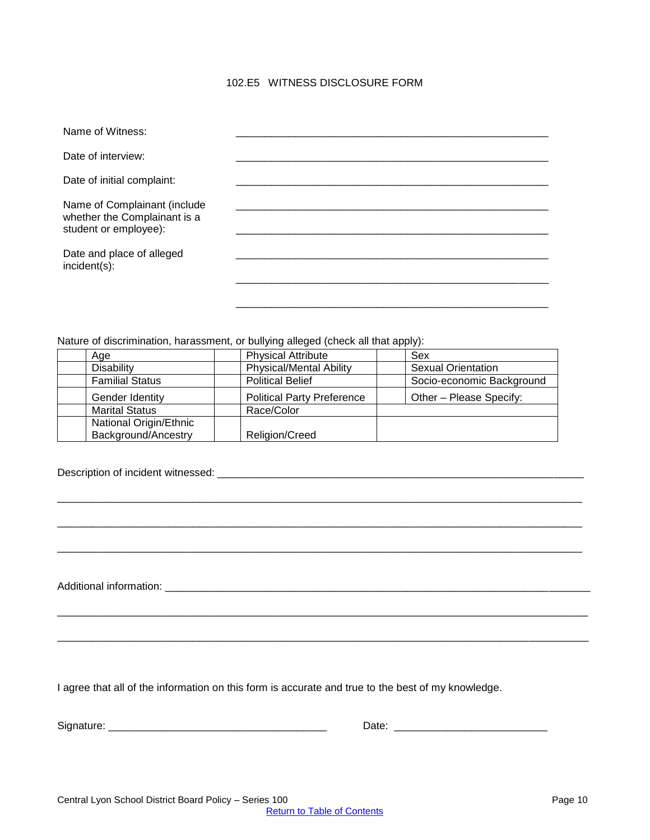## 102.E5 WITNESS DISCLOSURE FORM

<span id="page-9-0"></span>

| Name of Witness:                                                                      |  |
|---------------------------------------------------------------------------------------|--|
| Date of interview:                                                                    |  |
| Date of initial complaint:                                                            |  |
| Name of Complainant (include<br>whether the Complainant is a<br>student or employee): |  |
| Date and place of alleged<br>incident(s):                                             |  |
|                                                                                       |  |

Nature of discrimination, harassment, or bullying alleged (check all that apply):

|                        |                                   | .                         |
|------------------------|-----------------------------------|---------------------------|
| Age                    | <b>Physical Attribute</b>         | Sex                       |
| Disability             | <b>Physical/Mental Ability</b>    | <b>Sexual Orientation</b> |
| <b>Familial Status</b> | <b>Political Belief</b>           | Socio-economic Background |
| Gender Identity        | <b>Political Party Preference</b> | Other - Please Specify:   |
| <b>Marital Status</b>  | Race/Color                        |                           |
| National Origin/Ethnic |                                   |                           |
| Background/Ancestry    | Religion/Creed                    |                           |

| ,我们也不会有什么。""我们的人,我们也不会有什么?""我们的人,我们也不会有什么?""我们的人,我们也不会有什么?""我们的人,我们也不会有什么?""我们的人 |  |
|----------------------------------------------------------------------------------|--|
|                                                                                  |  |
|                                                                                  |  |
|                                                                                  |  |
|                                                                                  |  |
|                                                                                  |  |
|                                                                                  |  |
|                                                                                  |  |
|                                                                                  |  |
|                                                                                  |  |
|                                                                                  |  |
|                                                                                  |  |
|                                                                                  |  |
|                                                                                  |  |

I agree that all of the information on this form is accurate and true to the best of my knowledge.

| Signature: |  |
|------------|--|
|------------|--|

Signature: \_\_\_\_\_\_\_\_\_\_\_\_\_\_\_\_\_\_\_\_\_\_\_\_\_\_\_\_\_\_\_\_\_\_\_\_\_ Date: \_\_\_\_\_\_\_\_\_\_\_\_\_\_\_\_\_\_\_\_\_\_\_\_\_\_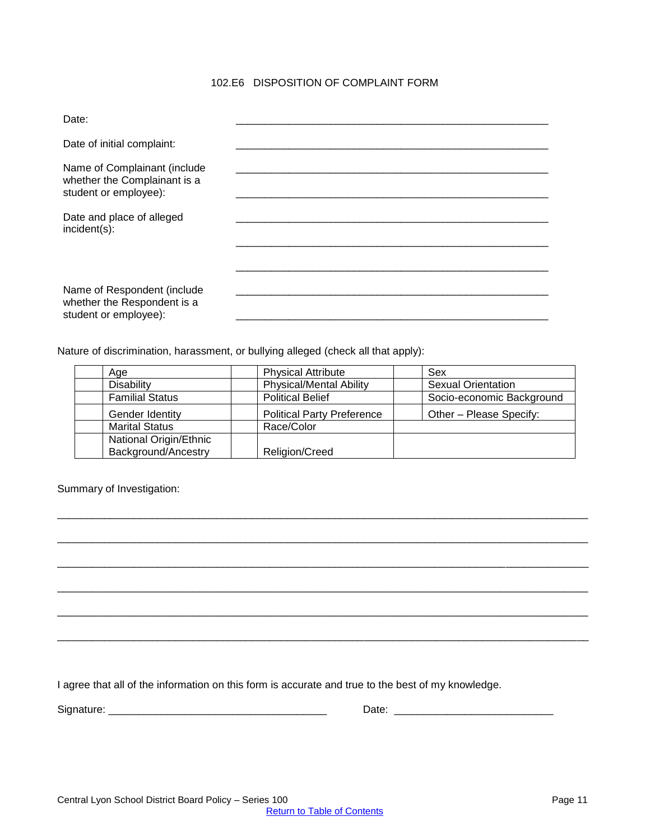# 102.E6 DISPOSITION OF COMPLAINT FORM

<span id="page-10-0"></span>

| Date:                                                                                 |  |
|---------------------------------------------------------------------------------------|--|
| Date of initial complaint:                                                            |  |
| Name of Complainant (include<br>whether the Complainant is a<br>student or employee): |  |
| Date and place of alleged<br>$incident(s)$ :                                          |  |
|                                                                                       |  |
| Name of Respondent (include<br>whether the Respondent is a<br>student or employee):   |  |

Nature of discrimination, harassment, or bullying alleged (check all that apply):

| Age                    | <b>Physical Attribute</b>         | Sex                       |
|------------------------|-----------------------------------|---------------------------|
| Disability             | <b>Physical/Mental Ability</b>    | <b>Sexual Orientation</b> |
| <b>Familial Status</b> | <b>Political Belief</b>           | Socio-economic Background |
| Gender Identity        | <b>Political Party Preference</b> | Other - Please Specify:   |
| <b>Marital Status</b>  | Race/Color                        |                           |
| National Origin/Ethnic |                                   |                           |
| Background/Ancestry    | Religion/Creed                    |                           |

\_\_\_\_\_\_\_\_\_\_\_\_\_\_\_\_\_\_\_\_\_\_\_\_\_\_\_\_\_\_\_\_\_\_\_\_\_\_\_\_\_\_\_\_\_\_\_\_\_\_\_\_\_\_\_\_\_\_\_\_\_\_\_\_\_\_\_\_\_\_\_\_\_\_\_\_\_\_\_\_\_\_\_\_\_\_\_\_\_\_

\_\_\_\_\_\_\_\_\_\_\_\_\_\_\_\_\_\_\_\_\_\_\_\_\_\_\_\_\_\_\_\_\_\_\_\_\_\_\_\_\_\_\_\_\_\_\_\_\_\_\_\_\_\_\_\_\_\_\_\_\_\_\_\_\_\_\_\_\_\_\_\_\_\_\_\_\_\_\_\_\_\_\_\_\_\_\_\_\_\_

\_\_\_\_\_\_\_\_\_\_\_\_\_\_\_\_\_\_\_\_\_\_\_\_\_\_\_\_\_\_\_\_\_\_\_\_\_\_\_\_\_\_\_\_\_\_\_\_\_\_\_\_\_\_\_\_\_\_\_\_\_\_\_\_\_\_\_\_\_\_\_\_\_\_\_\_\_\_\_\_\_\_\_\_\_\_\_\_\_\_

\_\_\_\_\_\_\_\_\_\_\_\_\_\_\_\_\_\_\_\_\_\_\_\_\_\_\_\_\_\_\_\_\_\_\_\_\_\_\_\_\_\_\_\_\_\_\_\_\_\_\_\_\_\_\_\_\_\_\_\_\_\_\_\_\_\_\_\_\_\_\_\_\_\_\_\_\_\_\_\_\_\_\_\_\_\_\_\_\_\_

\_\_\_\_\_\_\_\_\_\_\_\_\_\_\_\_\_\_\_\_\_\_\_\_\_\_\_\_\_\_\_\_\_\_\_\_\_\_\_\_\_\_\_\_\_\_\_\_\_\_\_\_\_\_\_\_\_\_\_\_\_\_\_\_\_\_\_\_\_\_\_\_\_\_\_\_\_\_\_\_\_\_\_\_\_\_\_\_\_\_

\_\_\_\_\_\_\_\_\_\_\_\_\_\_\_\_\_\_\_\_\_\_\_\_\_\_\_\_\_\_\_\_\_\_\_\_\_\_\_\_\_\_\_\_\_\_\_\_\_\_\_\_\_\_\_\_\_\_\_\_\_\_\_\_\_\_\_\_\_\_\_\_\_\_\_\_\_\_\_\_\_\_\_\_\_\_\_\_\_\_

Summary of Investigation:

I agree that all of the information on this form is accurate and true to the best of my knowledge.

| $-$<br>$\sim$ $\sim$ $\sim$<br>. | C <sub>1</sub><br>וס | <b>STATISTICS</b><br>. . |
|----------------------------------|----------------------|--------------------------|
|----------------------------------|----------------------|--------------------------|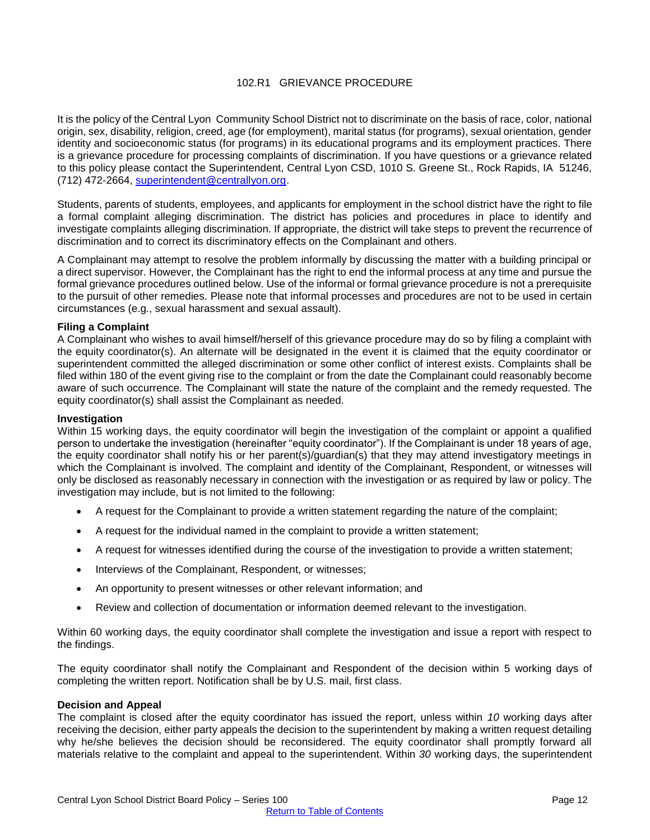## 102.R1 GRIEVANCE PROCEDURE

<span id="page-11-0"></span>It is the policy of the Central Lyon Community School District not to discriminate on the basis of race, color, national origin, sex, disability, religion, creed, age (for employment), marital status (for programs), sexual orientation, gender identity and socioeconomic status (for programs) in its educational programs and its employment practices. There is a grievance procedure for processing complaints of discrimination. If you have questions or a grievance related to this policy please contact the Superintendent, Central Lyon CSD, 1010 S. Greene St., Rock Rapids, IA 51246, (712) 472-2664, [superintendent@centrallyon.org.](mailto:superintendent@centrallyon.org)

Students, parents of students, employees, and applicants for employment in the school district have the right to file a formal complaint alleging discrimination. The district has policies and procedures in place to identify and investigate complaints alleging discrimination. If appropriate, the district will take steps to prevent the recurrence of discrimination and to correct its discriminatory effects on the Complainant and others.

A Complainant may attempt to resolve the problem informally by discussing the matter with a building principal or a direct supervisor. However, the Complainant has the right to end the informal process at any time and pursue the formal grievance procedures outlined below. Use of the informal or formal grievance procedure is not a prerequisite to the pursuit of other remedies. Please note that informal processes and procedures are not to be used in certain circumstances (e.g., sexual harassment and sexual assault).

#### **Filing a Complaint**

A Complainant who wishes to avail himself/herself of this grievance procedure may do so by filing a complaint with the equity coordinator(s). An alternate will be designated in the event it is claimed that the equity coordinator or superintendent committed the alleged discrimination or some other conflict of interest exists. Complaints shall be filed within 180 of the event giving rise to the complaint or from the date the Complainant could reasonably become aware of such occurrence*.* The Complainant will state the nature of the complaint and the remedy requested. The equity coordinator(s) shall assist the Complainant as needed.

#### **Investigation**

Within 15 working days, the equity coordinator will begin the investigation of the complaint or appoint a qualified person to undertake the investigation (hereinafter "equity coordinator"). If the Complainant is under 18 years of age, the equity coordinator shall notify his or her parent(s)/guardian(s) that they may attend investigatory meetings in which the Complainant is involved. The complaint and identity of the Complainant, Respondent, or witnesses will only be disclosed as reasonably necessary in connection with the investigation or as required by law or policy. The investigation may include, but is not limited to the following:

- A request for the Complainant to provide a written statement regarding the nature of the complaint;
- A request for the individual named in the complaint to provide a written statement;
- A request for witnesses identified during the course of the investigation to provide a written statement;
- Interviews of the Complainant, Respondent, or witnesses;
- An opportunity to present witnesses or other relevant information; and
- Review and collection of documentation or information deemed relevant to the investigation.

Within 60 working days, the equity coordinator shall complete the investigation and issue a report with respect to the findings.

The equity coordinator shall notify the Complainant and Respondent of the decision within 5 working days of completing the written report. Notification shall be by U.S. mail, first class.

#### **Decision and Appeal**

The complaint is closed after the equity coordinator has issued the report, unless within *10* working days after receiving the decision, either party appeals the decision to the superintendent by making a written request detailing why he/she believes the decision should be reconsidered. The equity coordinator shall promptly forward all materials relative to the complaint and appeal to the superintendent. Within *30* working days, the superintendent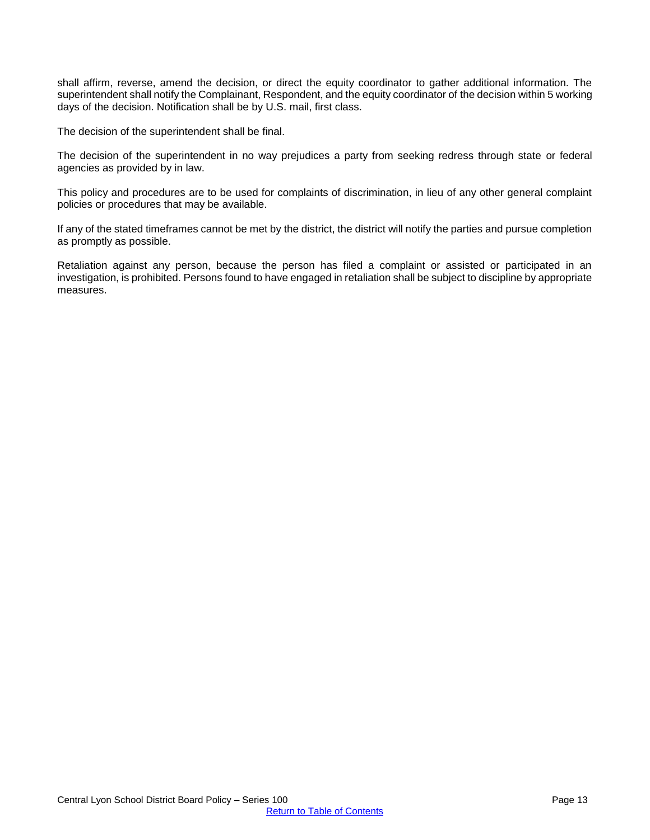shall affirm, reverse, amend the decision, or direct the equity coordinator to gather additional information. The superintendent shall notify the Complainant, Respondent, and the equity coordinator of the decision within 5 working days of the decision. Notification shall be by U.S. mail, first class.

The decision of the superintendent shall be final.

The decision of the superintendent in no way prejudices a party from seeking redress through state or federal agencies as provided by in law.

This policy and procedures are to be used for complaints of discrimination, in lieu of any other general complaint policies or procedures that may be available.

If any of the stated timeframes cannot be met by the district, the district will notify the parties and pursue completion as promptly as possible.

Retaliation against any person, because the person has filed a complaint or assisted or participated in an investigation, is prohibited. Persons found to have engaged in retaliation shall be subject to discipline by appropriate measures.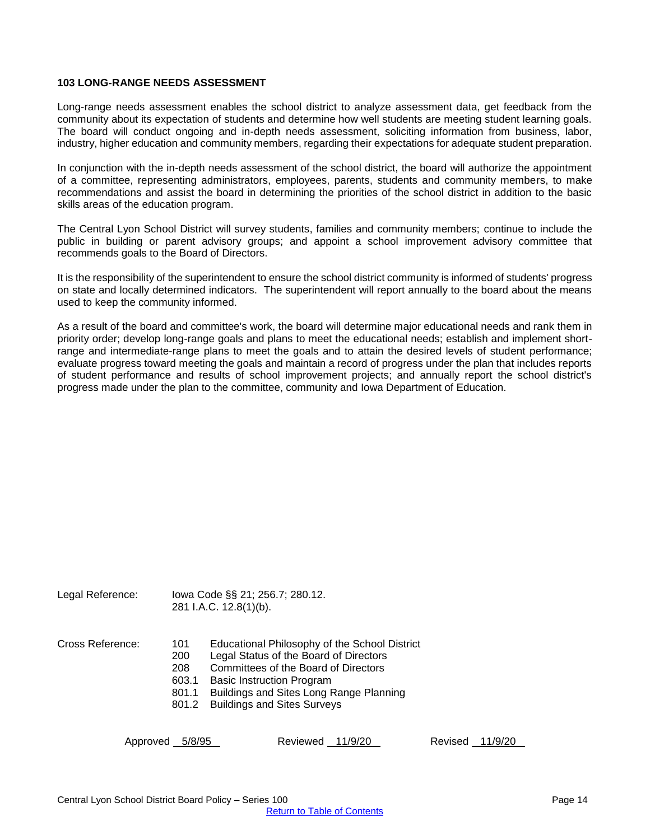#### <span id="page-13-0"></span>**103 LONG-RANGE NEEDS ASSESSMENT**

Long-range needs assessment enables the school district to analyze assessment data, get feedback from the community about its expectation of students and determine how well students are meeting student learning goals. The board will conduct ongoing and in-depth needs assessment, soliciting information from business, labor, industry, higher education and community members, regarding their expectations for adequate student preparation.

In conjunction with the in-depth needs assessment of the school district, the board will authorize the appointment of a committee, representing administrators, employees, parents, students and community members, to make recommendations and assist the board in determining the priorities of the school district in addition to the basic skills areas of the education program.

The Central Lyon School District will survey students, families and community members; continue to include the public in building or parent advisory groups; and appoint a school improvement advisory committee that recommends goals to the Board of Directors.

It is the responsibility of the superintendent to ensure the school district community is informed of students' progress on state and locally determined indicators. The superintendent will report annually to the board about the means used to keep the community informed.

As a result of the board and committee's work, the board will determine major educational needs and rank them in priority order; develop long-range goals and plans to meet the educational needs; establish and implement shortrange and intermediate-range plans to meet the goals and to attain the desired levels of student performance; evaluate progress toward meeting the goals and maintain a record of progress under the plan that includes reports of student performance and results of school improvement projects; and annually report the school district's progress made under the plan to the committee, community and Iowa Department of Education.

| Legal Reference: |     | lowa Code §§ 21; 256.7; 280.12.<br>281 I.A.C. 12.8(1)(b). |  |
|------------------|-----|-----------------------------------------------------------|--|
| Cross Reference: | 101 | Educational Philosophy of the                             |  |

- e School District
	- 200 Legal Status of the Board of Directors
	- 208 Committees of the Board of Directors
	- 603.1 Basic Instruction Program
	- 801.1 Buildings and Sites Long Range Planning
	- 801.2 Buildings and Sites Surveys

Approved 5/8/95 Reviewed 11/9/20 Revised 11/9/20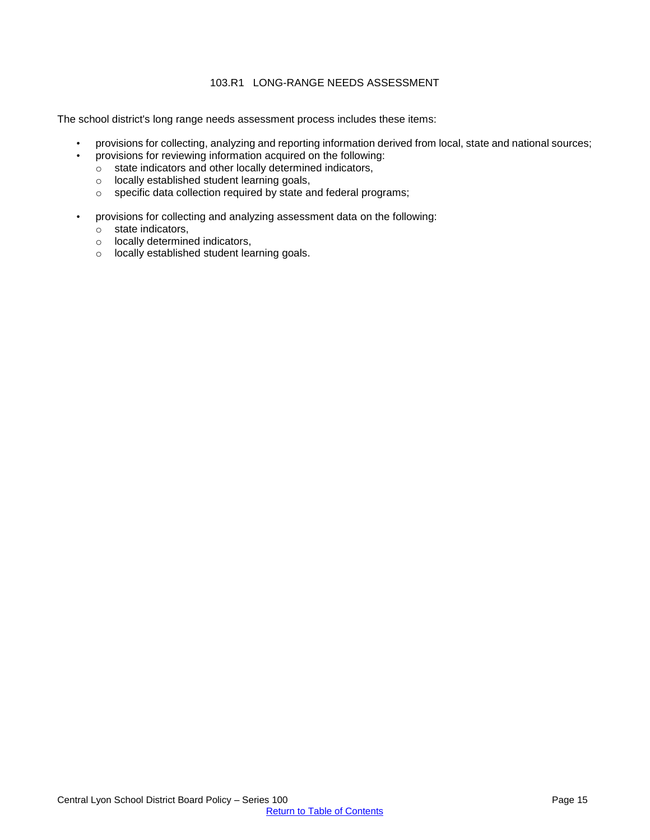## 103.R1 LONG-RANGE NEEDS ASSESSMENT

<span id="page-14-0"></span>The school district's long range needs assessment process includes these items:

- provisions for collecting, analyzing and reporting information derived from local, state and national sources;
- provisions for reviewing information acquired on the following:
	- o state indicators and other locally determined indicators,
	- o locally established student learning goals,
	- o specific data collection required by state and federal programs;
- provisions for collecting and analyzing assessment data on the following:
	- o state indicators,
	- o locally determined indicators,
	- o locally established student learning goals.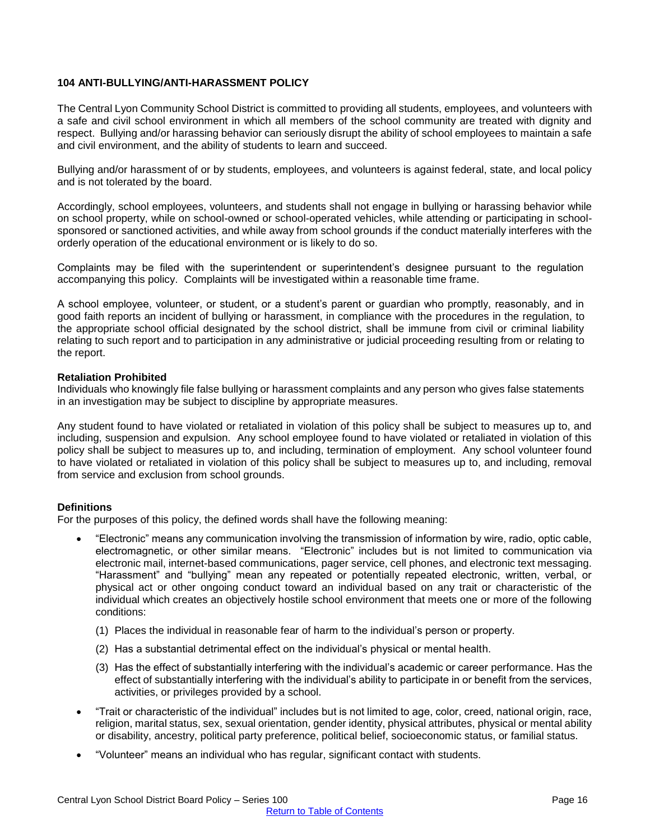## <span id="page-15-0"></span>**104 ANTI-BULLYING/ANTI-HARASSMENT POLICY**

The Central Lyon Community School District is committed to providing all students, employees, and volunteers with a safe and civil school environment in which all members of the school community are treated with dignity and respect. Bullying and/or harassing behavior can seriously disrupt the ability of school employees to maintain a safe and civil environment, and the ability of students to learn and succeed.

Bullying and/or harassment of or by students, employees, and volunteers is against federal, state, and local policy and is not tolerated by the board.

Accordingly, school employees, volunteers, and students shall not engage in bullying or harassing behavior while on school property, while on school-owned or school-operated vehicles, while attending or participating in schoolsponsored or sanctioned activities, and while away from school grounds if the conduct materially interferes with the orderly operation of the educational environment or is likely to do so.

Complaints may be filed with the superintendent or superintendent's designee pursuant to the regulation accompanying this policy. Complaints will be investigated within a reasonable time frame.

A school employee, volunteer, or student, or a student's parent or guardian who promptly, reasonably, and in good faith reports an incident of bullying or harassment, in compliance with the procedures in the regulation, to the appropriate school official designated by the school district, shall be immune from civil or criminal liability relating to such report and to participation in any administrative or judicial proceeding resulting from or relating to the report.

#### **Retaliation Prohibited**

Individuals who knowingly file false bullying or harassment complaints and any person who gives false statements in an investigation may be subject to discipline by appropriate measures.

Any student found to have violated or retaliated in violation of this policy shall be subject to measures up to, and including, suspension and expulsion. Any school employee found to have violated or retaliated in violation of this policy shall be subject to measures up to, and including, termination of employment. Any school volunteer found to have violated or retaliated in violation of this policy shall be subject to measures up to, and including, removal from service and exclusion from school grounds.

#### **Definitions**

For the purposes of this policy, the defined words shall have the following meaning:

- "Electronic" means any communication involving the transmission of information by wire, radio, optic cable, electromagnetic, or other similar means. "Electronic" includes but is not limited to communication via electronic mail, internet-based communications, pager service, cell phones, and electronic text messaging. "Harassment" and "bullying" mean any repeated or potentially repeated electronic, written, verbal, or physical act or other ongoing conduct toward an individual based on any trait or characteristic of the individual which creates an objectively hostile school environment that meets one or more of the following conditions:
	- (1) Places the individual in reasonable fear of harm to the individual's person or property.
	- (2) Has a substantial detrimental effect on the individual's physical or mental health.
	- (3) Has the effect of substantially interfering with the individual's academic or career performance. Has the effect of substantially interfering with the individual's ability to participate in or benefit from the services, activities, or privileges provided by a school.
- "Trait or characteristic of the individual" includes but is not limited to age, color, creed, national origin, race, religion, marital status, sex, sexual orientation, gender identity, physical attributes, physical or mental ability or disability, ancestry, political party preference, political belief, socioeconomic status, or familial status.
- "Volunteer" means an individual who has regular, significant contact with students.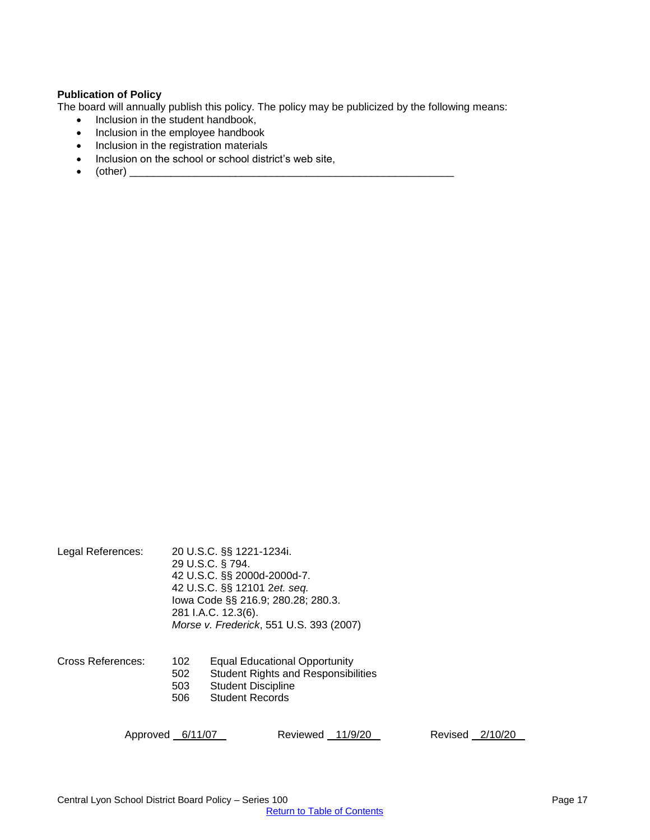## **Publication of Policy**

The board will annually publish this policy. The policy may be publicized by the following means:

- Inclusion in the student handbook,
- Inclusion in the employee handbook
- Inclusion in the registration materials
- Inclusion on the school or school district's web site,
- $\bullet$  (other)  $\qquad \qquad$

| Legal References: |                          | 20 U.S.C. §§ 1221-1234i.<br>29 U.S.C. § 794.<br>42 U.S.C. §§ 2000d-2000d-7.<br>42 U.S.C. §§ 12101 2et. seq.<br>lowa Code §§ 216.9; 280.28; 280.3.<br>281 I.A.C. 12.3(6).<br>Morse v. Frederick, 551 U.S. 393 (2007) |
|-------------------|--------------------------|---------------------------------------------------------------------------------------------------------------------------------------------------------------------------------------------------------------------|
| Cross References: | 102<br>502<br>503<br>506 | <b>Equal Educational Opportunity</b><br><b>Student Rights and Responsibilities</b><br><b>Student Discipline</b><br><b>Student Records</b>                                                                           |

Approved 6/11/07 Reviewed 11/9/20 Revised 2/10/20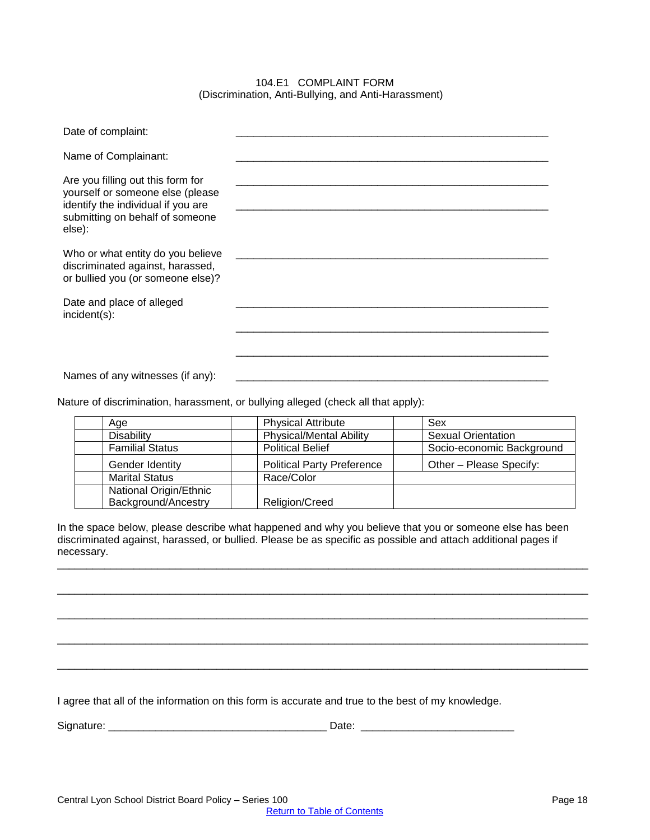#### 104.E1 COMPLAINT FORM (Discrimination, Anti-Bullying, and Anti-Harassment)

<span id="page-17-0"></span>

| Date of complaint:                                                                                                                                       |  |
|----------------------------------------------------------------------------------------------------------------------------------------------------------|--|
| Name of Complainant:                                                                                                                                     |  |
| Are you filling out this form for<br>yourself or someone else (please<br>identify the individual if you are<br>submitting on behalf of someone<br>else): |  |
| Who or what entity do you believe<br>discriminated against, harassed,<br>or bullied you (or someone else)?                                               |  |
| Date and place of alleged<br>incident(s):                                                                                                                |  |
|                                                                                                                                                          |  |
| Names of any witnesses (if any):                                                                                                                         |  |

Nature of discrimination, harassment, or bullying alleged (check all that apply):

| Age                    | <b>Physical Attribute</b>         | Sex                       |
|------------------------|-----------------------------------|---------------------------|
| <b>Disability</b>      | <b>Physical/Mental Ability</b>    | <b>Sexual Orientation</b> |
| <b>Familial Status</b> | <b>Political Belief</b>           | Socio-economic Background |
| Gender Identity        | <b>Political Party Preference</b> | Other - Please Specify:   |
| <b>Marital Status</b>  | Race/Color                        |                           |
| National Origin/Ethnic |                                   |                           |
| Background/Ancestry    | <b>Religion/Creed</b>             |                           |

In the space below, please describe what happened and why you believe that you or someone else has been discriminated against, harassed, or bullied. Please be as specific as possible and attach additional pages if necessary.

\_\_\_\_\_\_\_\_\_\_\_\_\_\_\_\_\_\_\_\_\_\_\_\_\_\_\_\_\_\_\_\_\_\_\_\_\_\_\_\_\_\_\_\_\_\_\_\_\_\_\_\_\_\_\_\_\_\_\_\_\_\_\_\_\_\_\_\_\_\_\_\_\_\_\_\_\_\_\_\_\_\_\_\_\_\_\_\_\_\_

\_\_\_\_\_\_\_\_\_\_\_\_\_\_\_\_\_\_\_\_\_\_\_\_\_\_\_\_\_\_\_\_\_\_\_\_\_\_\_\_\_\_\_\_\_\_\_\_\_\_\_\_\_\_\_\_\_\_\_\_\_\_\_\_\_\_\_\_\_\_\_\_\_\_\_\_\_\_\_\_\_\_\_\_\_\_\_\_\_\_

\_\_\_\_\_\_\_\_\_\_\_\_\_\_\_\_\_\_\_\_\_\_\_\_\_\_\_\_\_\_\_\_\_\_\_\_\_\_\_\_\_\_\_\_\_\_\_\_\_\_\_\_\_\_\_\_\_\_\_\_\_\_\_\_\_\_\_\_\_\_\_\_\_\_\_\_\_\_\_\_\_\_\_\_\_\_\_\_\_\_

\_\_\_\_\_\_\_\_\_\_\_\_\_\_\_\_\_\_\_\_\_\_\_\_\_\_\_\_\_\_\_\_\_\_\_\_\_\_\_\_\_\_\_\_\_\_\_\_\_\_\_\_\_\_\_\_\_\_\_\_\_\_\_\_\_\_\_\_\_\_\_\_\_\_\_\_\_\_\_\_\_\_\_\_\_\_\_\_\_\_

\_\_\_\_\_\_\_\_\_\_\_\_\_\_\_\_\_\_\_\_\_\_\_\_\_\_\_\_\_\_\_\_\_\_\_\_\_\_\_\_\_\_\_\_\_\_\_\_\_\_\_\_\_\_\_\_\_\_\_\_\_\_\_\_\_\_\_\_\_\_\_\_\_\_\_\_\_\_\_\_\_\_\_\_\_\_\_\_\_\_

I agree that all of the information on this form is accurate and true to the best of my knowledge.

Signature: \_\_\_\_\_\_\_\_\_\_\_\_\_\_\_\_\_\_\_\_\_\_\_\_\_\_\_\_\_\_\_\_\_\_\_\_\_ Date: \_\_\_\_\_\_\_\_\_\_\_\_\_\_\_\_\_\_\_\_\_\_\_\_\_\_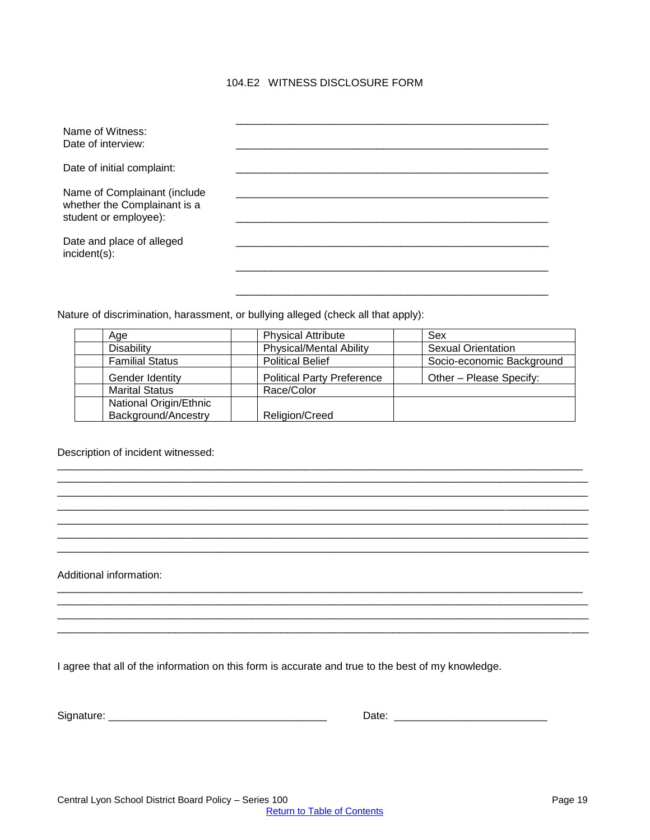## 104.E2 WITNESS DISCLOSURE FORM

<span id="page-18-0"></span>

| Name of Witness:<br>Date of interview:                                                |  |
|---------------------------------------------------------------------------------------|--|
| Date of initial complaint:                                                            |  |
| Name of Complainant (include<br>whether the Complainant is a<br>student or employee): |  |
| Date and place of alleged<br>incident(s):                                             |  |
|                                                                                       |  |

Nature of discrimination, harassment, or bullying alleged (check all that apply):

| Age                    | <b>Physical Attribute</b>         | Sex                       |
|------------------------|-----------------------------------|---------------------------|
| Disability             | <b>Physical/Mental Ability</b>    | <b>Sexual Orientation</b> |
| <b>Familial Status</b> | <b>Political Belief</b>           | Socio-economic Background |
| Gender Identity        | <b>Political Party Preference</b> | Other - Please Specify:   |
| <b>Marital Status</b>  | Race/Color                        |                           |
| National Origin/Ethnic |                                   |                           |
| Background/Ancestry    | Religion/Creed                    |                           |

\_\_\_\_\_\_\_\_\_\_\_\_\_\_\_\_\_\_\_\_\_\_\_\_\_\_\_\_\_\_\_\_\_\_\_\_\_\_\_\_\_\_\_\_\_\_\_\_\_\_\_\_\_\_\_\_\_\_\_\_\_\_\_\_\_\_\_\_\_\_\_\_\_\_\_\_\_\_\_\_\_\_\_\_\_\_\_\_\_ \_\_\_\_\_\_\_\_\_\_\_\_\_\_\_\_\_\_\_\_\_\_\_\_\_\_\_\_\_\_\_\_\_\_\_\_\_\_\_\_\_\_\_\_\_\_\_\_\_\_\_\_\_\_\_\_\_\_\_\_\_\_\_\_\_\_\_\_\_\_\_\_\_\_\_\_\_\_\_\_\_\_\_\_\_\_\_\_\_\_ \_\_\_\_\_\_\_\_\_\_\_\_\_\_\_\_\_\_\_\_\_\_\_\_\_\_\_\_\_\_\_\_\_\_\_\_\_\_\_\_\_\_\_\_\_\_\_\_\_\_\_\_\_\_\_\_\_\_\_\_\_\_\_\_\_\_\_\_\_\_\_\_\_\_\_\_\_\_\_\_\_\_\_\_\_\_\_\_\_\_ \_\_\_\_\_\_\_\_\_\_\_\_\_\_\_\_\_\_\_\_\_\_\_\_\_\_\_\_\_\_\_\_\_\_\_\_\_\_\_\_\_\_\_\_\_\_\_\_\_\_\_\_\_\_\_\_\_\_\_\_\_\_\_\_\_\_\_\_\_\_\_\_\_\_\_\_\_\_\_\_\_\_\_\_\_\_\_\_\_\_ \_\_\_\_\_\_\_\_\_\_\_\_\_\_\_\_\_\_\_\_\_\_\_\_\_\_\_\_\_\_\_\_\_\_\_\_\_\_\_\_\_\_\_\_\_\_\_\_\_\_\_\_\_\_\_\_\_\_\_\_\_\_\_\_\_\_\_\_\_\_\_\_\_\_\_\_\_\_\_\_\_\_\_\_\_\_\_\_\_\_ \_\_\_\_\_\_\_\_\_\_\_\_\_\_\_\_\_\_\_\_\_\_\_\_\_\_\_\_\_\_\_\_\_\_\_\_\_\_\_\_\_\_\_\_\_\_\_\_\_\_\_\_\_\_\_\_\_\_\_\_\_\_\_\_\_\_\_\_\_\_\_\_\_\_\_\_\_\_\_\_\_\_\_\_\_\_\_\_\_\_ \_\_\_\_\_\_\_\_\_\_\_\_\_\_\_\_\_\_\_\_\_\_\_\_\_\_\_\_\_\_\_\_\_\_\_\_\_\_\_\_\_\_\_\_\_\_\_\_\_\_\_\_\_\_\_\_\_\_\_\_\_\_\_\_\_\_\_\_\_\_\_\_\_\_\_\_\_\_\_\_\_\_\_\_\_\_\_\_\_\_

\_\_\_\_\_\_\_\_\_\_\_\_\_\_\_\_\_\_\_\_\_\_\_\_\_\_\_\_\_\_\_\_\_\_\_\_\_\_\_\_\_\_\_\_\_\_\_\_\_\_\_\_\_\_\_\_\_\_\_\_\_\_\_\_\_\_\_\_\_\_\_\_\_\_\_\_\_\_\_\_\_\_\_\_\_\_\_\_\_ \_\_\_\_\_\_\_\_\_\_\_\_\_\_\_\_\_\_\_\_\_\_\_\_\_\_\_\_\_\_\_\_\_\_\_\_\_\_\_\_\_\_\_\_\_\_\_\_\_\_\_\_\_\_\_\_\_\_\_\_\_\_\_\_\_\_\_\_\_\_\_\_\_\_\_\_\_\_\_\_\_\_\_\_\_\_\_\_\_\_ \_\_\_\_\_\_\_\_\_\_\_\_\_\_\_\_\_\_\_\_\_\_\_\_\_\_\_\_\_\_\_\_\_\_\_\_\_\_\_\_\_\_\_\_\_\_\_\_\_\_\_\_\_\_\_\_\_\_\_\_\_\_\_\_\_\_\_\_\_\_\_\_\_\_\_\_\_\_\_\_\_\_\_\_\_\_\_\_\_\_ \_\_\_\_\_\_\_\_\_\_\_\_\_\_\_\_\_\_\_\_\_\_\_\_\_\_\_\_\_\_\_\_\_\_\_\_\_\_\_\_\_\_\_\_\_\_\_\_\_\_\_\_\_\_\_\_\_\_\_\_\_\_\_\_\_\_\_\_\_\_\_\_\_\_\_\_\_\_\_\_\_\_\_\_\_\_\_\_\_\_

## Description of incident witnessed:

Additional information:

I agree that all of the information on this form is accurate and true to the best of my knowledge.

| $\sim$ | -     |
|--------|-------|
| אכ     | . .   |
| .      | - --- |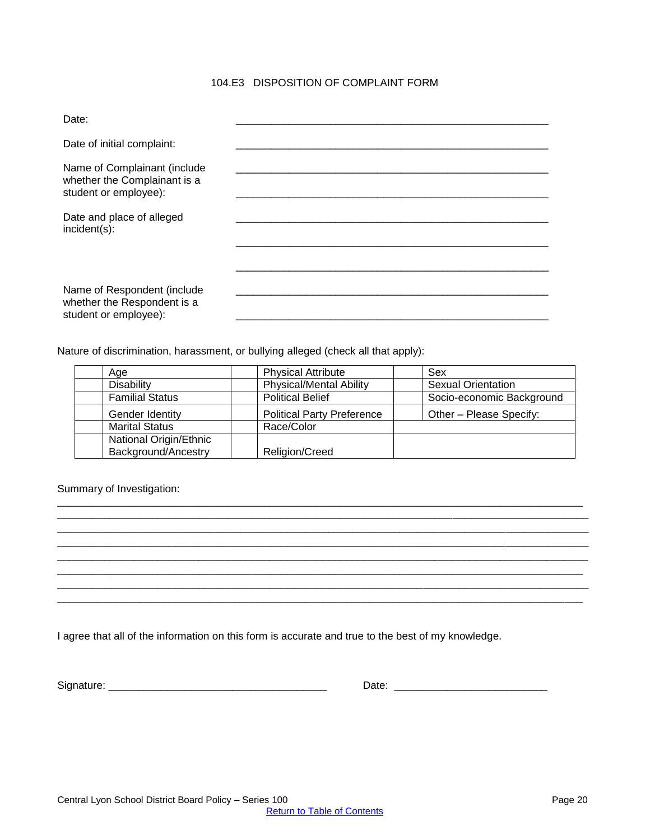# 104.E3 DISPOSITION OF COMPLAINT FORM

<span id="page-19-0"></span>

| Date:                                                                                 |  |
|---------------------------------------------------------------------------------------|--|
| Date of initial complaint:                                                            |  |
| Name of Complainant (include<br>whether the Complainant is a<br>student or employee): |  |
| Date and place of alleged<br>$incident(s)$ :                                          |  |
|                                                                                       |  |
| Name of Respondent (include<br>whether the Respondent is a<br>student or employee):   |  |

Nature of discrimination, harassment, or bullying alleged (check all that apply):

| Age                    | <b>Physical Attribute</b>         | Sex                       |
|------------------------|-----------------------------------|---------------------------|
| <b>Disability</b>      | <b>Physical/Mental Ability</b>    | <b>Sexual Orientation</b> |
| <b>Familial Status</b> | <b>Political Belief</b>           | Socio-economic Background |
| Gender Identity        | <b>Political Party Preference</b> | Other - Please Specify:   |
| <b>Marital Status</b>  | Race/Color                        |                           |
| National Origin/Ethnic |                                   |                           |
| Background/Ancestry    | Religion/Creed                    |                           |

\_\_\_\_\_\_\_\_\_\_\_\_\_\_\_\_\_\_\_\_\_\_\_\_\_\_\_\_\_\_\_\_\_\_\_\_\_\_\_\_\_\_\_\_\_\_\_\_\_\_\_\_\_\_\_\_\_\_\_\_\_\_\_\_\_\_\_\_\_\_\_\_\_\_\_\_\_\_\_\_\_\_\_\_\_\_\_\_\_ \_\_\_\_\_\_\_\_\_\_\_\_\_\_\_\_\_\_\_\_\_\_\_\_\_\_\_\_\_\_\_\_\_\_\_\_\_\_\_\_\_\_\_\_\_\_\_\_\_\_\_\_\_\_\_\_\_\_\_\_\_\_\_\_\_\_\_\_\_\_\_\_\_\_\_\_\_\_\_\_\_\_\_\_\_\_\_\_\_\_ \_\_\_\_\_\_\_\_\_\_\_\_\_\_\_\_\_\_\_\_\_\_\_\_\_\_\_\_\_\_\_\_\_\_\_\_\_\_\_\_\_\_\_\_\_\_\_\_\_\_\_\_\_\_\_\_\_\_\_\_\_\_\_\_\_\_\_\_\_\_\_\_\_\_\_\_\_\_\_\_\_\_\_\_\_\_\_\_\_\_

\_\_\_\_\_\_\_\_\_\_\_\_\_\_\_\_\_\_\_\_\_\_\_\_\_\_\_\_\_\_\_\_\_\_\_\_\_\_\_\_\_\_\_\_\_\_\_\_\_\_\_\_\_\_\_\_\_\_\_\_\_\_\_\_\_\_\_\_\_\_\_\_\_\_\_\_\_\_\_\_\_\_\_\_\_\_\_\_\_\_

\_\_\_\_\_\_\_\_\_\_\_\_\_\_\_\_\_\_\_\_\_\_\_\_\_\_\_\_\_\_\_\_\_\_\_\_\_\_\_\_\_\_\_\_\_\_\_\_\_\_\_\_\_\_\_\_\_\_\_\_\_\_\_\_\_\_\_\_\_\_\_\_\_\_\_\_\_\_\_\_\_\_\_\_\_\_\_\_\_\_ \_\_\_\_\_\_\_\_\_\_\_\_\_\_\_\_\_\_\_\_\_\_\_\_\_\_\_\_\_\_\_\_\_\_\_\_\_\_\_\_\_\_\_\_\_\_\_\_\_\_\_\_\_\_\_\_\_\_\_\_\_\_\_\_\_\_\_\_\_\_\_\_\_\_\_\_\_\_\_\_\_\_\_\_\_\_\_\_\_

Summary of Investigation:

I agree that all of the information on this form is accurate and true to the best of my knowledge.

| Signature: |  |
|------------|--|
|            |  |

Signature: \_\_\_\_\_\_\_\_\_\_\_\_\_\_\_\_\_\_\_\_\_\_\_\_\_\_\_\_\_\_\_\_\_\_\_\_\_ Date: \_\_\_\_\_\_\_\_\_\_\_\_\_\_\_\_\_\_\_\_\_\_\_\_\_\_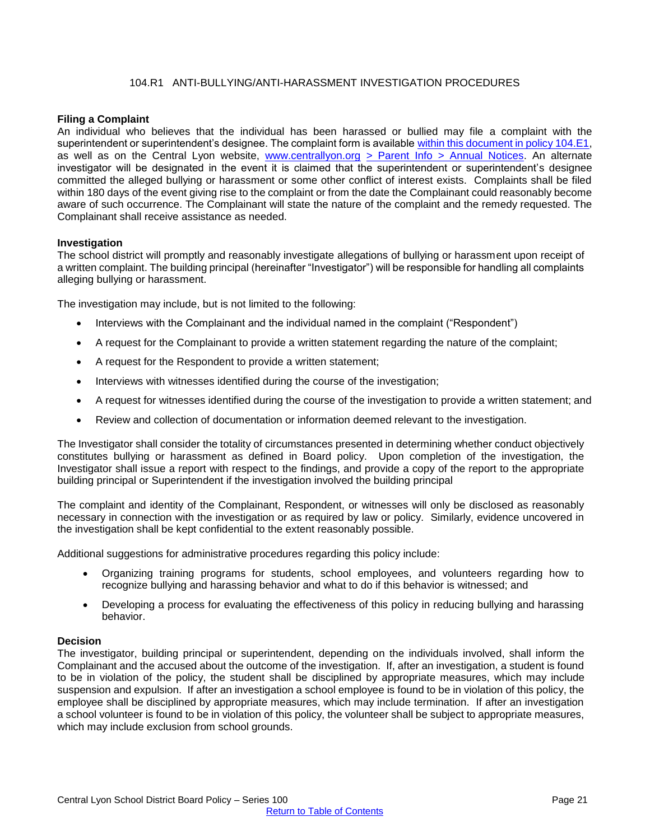## 104.R1 ANTI-BULLYING/ANTI-HARASSMENT INVESTIGATION PROCEDURES

## <span id="page-20-0"></span>**Filing a Complaint**

An individual who believes that the individual has been harassed or bullied may file a complaint with the superintendent or superintendent's designee. The complaint form is available [within this document in policy 104.E1,](#page-17-0) as well as on the Central Lyon website, [www.centrallyon.org](http://www.centrallyon.org/) [> Parent Info > Annual Notices.](https://www.centrallyon.org/vnews/display.v/SEC/Parent%20Info%7CAnnual%20Notices) An alternate investigator will be designated in the event it is claimed that the superintendent or superintendent's designee committed the alleged bullying or harassment or some other conflict of interest exists. Complaints shall be filed within 180 days of the event giving rise to the complaint or from the date the Complainant could reasonably become aware of such occurrence. The Complainant will state the nature of the complaint and the remedy requested. The Complainant shall receive assistance as needed.

#### **Investigation**

The school district will promptly and reasonably investigate allegations of bullying or harassment upon receipt of a written complaint. The building principal (hereinafter "Investigator") will be responsible for handling all complaints alleging bullying or harassment.

The investigation may include, but is not limited to the following:

- Interviews with the Complainant and the individual named in the complaint ("Respondent")
- A request for the Complainant to provide a written statement regarding the nature of the complaint;
- A request for the Respondent to provide a written statement;
- Interviews with witnesses identified during the course of the investigation;
- A request for witnesses identified during the course of the investigation to provide a written statement; and
- Review and collection of documentation or information deemed relevant to the investigation.

The Investigator shall consider the totality of circumstances presented in determining whether conduct objectively constitutes bullying or harassment as defined in Board policy. Upon completion of the investigation, the Investigator shall issue a report with respect to the findings, and provide a copy of the report to the appropriate building principal or Superintendent if the investigation involved the building principal

The complaint and identity of the Complainant, Respondent, or witnesses will only be disclosed as reasonably necessary in connection with the investigation or as required by law or policy. Similarly, evidence uncovered in the investigation shall be kept confidential to the extent reasonably possible.

Additional suggestions for administrative procedures regarding this policy include:

- Organizing training programs for students, school employees, and volunteers regarding how to recognize bullying and harassing behavior and what to do if this behavior is witnessed; and
- Developing a process for evaluating the effectiveness of this policy in reducing bullying and harassing behavior.

#### **Decision**

The investigator, building principal or superintendent, depending on the individuals involved, shall inform the Complainant and the accused about the outcome of the investigation. If, after an investigation, a student is found to be in violation of the policy, the student shall be disciplined by appropriate measures, which may include suspension and expulsion. If after an investigation a school employee is found to be in violation of this policy, the employee shall be disciplined by appropriate measures, which may include termination. If after an investigation a school volunteer is found to be in violation of this policy, the volunteer shall be subject to appropriate measures, which may include exclusion from school grounds.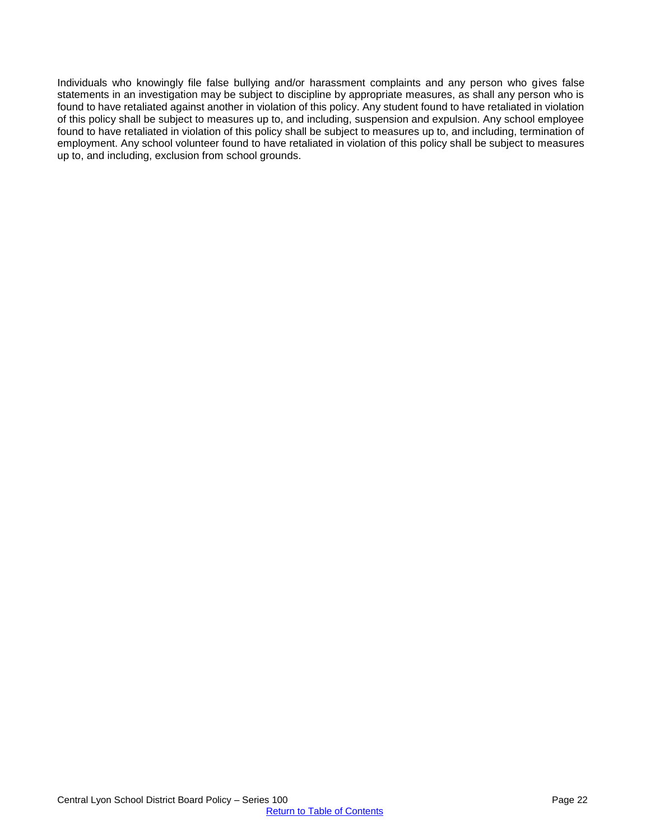Individuals who knowingly file false bullying and/or harassment complaints and any person who gives false statements in an investigation may be subject to discipline by appropriate measures, as shall any person who is found to have retaliated against another in violation of this policy. Any student found to have retaliated in violation of this policy shall be subject to measures up to, and including, suspension and expulsion. Any school employee found to have retaliated in violation of this policy shall be subject to measures up to, and including, termination of employment. Any school volunteer found to have retaliated in violation of this policy shall be subject to measures up to, and including, exclusion from school grounds.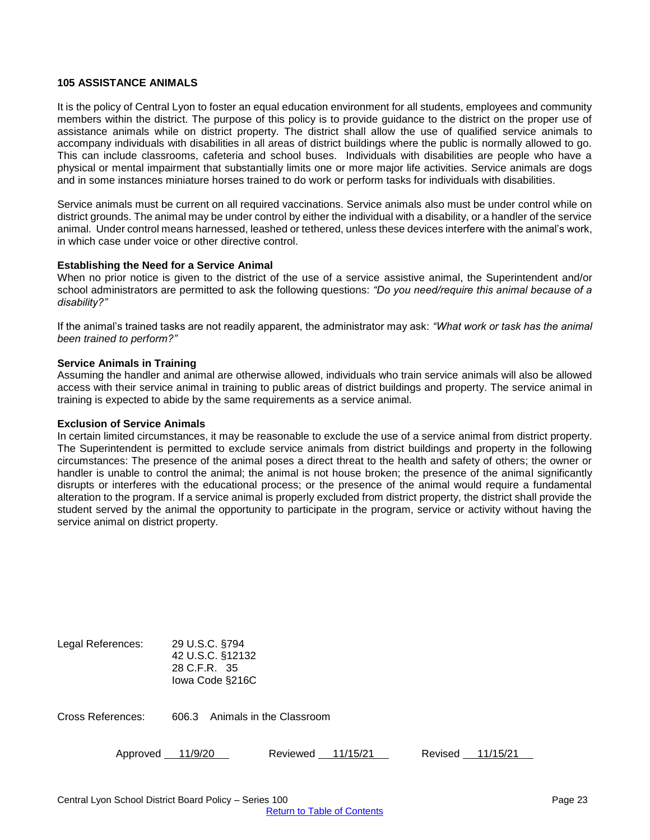#### <span id="page-22-0"></span>**105 ASSISTANCE ANIMALS**

It is the policy of Central Lyon to foster an equal education environment for all students, employees and community members within the district. The purpose of this policy is to provide guidance to the district on the proper use of assistance animals while on district property. The district shall allow the use of qualified service animals to accompany individuals with disabilities in all areas of district buildings where the public is normally allowed to go. This can include classrooms, cafeteria and school buses. Individuals with disabilities are people who have a physical or mental impairment that substantially limits one or more major life activities. Service animals are dogs and in some instances miniature horses trained to do work or perform tasks for individuals with disabilities.

Service animals must be current on all required vaccinations. Service animals also must be under control while on district grounds. The animal may be under control by either the individual with a disability, or a handler of the service animal. Under control means harnessed, leashed or tethered, unless these devices interfere with the animal's work, in which case under voice or other directive control.

#### **Establishing the Need for a Service Animal**

When no prior notice is given to the district of the use of a service assistive animal, the Superintendent and/or school administrators are permitted to ask the following questions: *"Do you need/require this animal because of a disability?"* 

If the animal's trained tasks are not readily apparent, the administrator may ask: *"What work or task has the animal been trained to perform?"*

#### **Service Animals in Training**

Assuming the handler and animal are otherwise allowed, individuals who train service animals will also be allowed access with their service animal in training to public areas of district buildings and property. The service animal in training is expected to abide by the same requirements as a service animal.

#### **Exclusion of Service Animals**

In certain limited circumstances, it may be reasonable to exclude the use of a service animal from district property. The Superintendent is permitted to exclude service animals from district buildings and property in the following circumstances: The presence of the animal poses a direct threat to the health and safety of others; the owner or handler is unable to control the animal; the animal is not house broken; the presence of the animal significantly disrupts or interferes with the educational process; or the presence of the animal would require a fundamental alteration to the program. If a service animal is properly excluded from district property, the district shall provide the student served by the animal the opportunity to participate in the program, service or activity without having the service animal on district property.

| Legal References: | 29 U.S.C. §794<br>42 U.S.C. §12132<br>28 C.F.R. 35<br>lowa Code §216C |                          |          |         |          |
|-------------------|-----------------------------------------------------------------------|--------------------------|----------|---------|----------|
| Cross References: | 606.3                                                                 | Animals in the Classroom |          |         |          |
| Approved          | 11/9/20                                                               | Reviewed                 | 11/15/21 | Revised | 11/15/21 |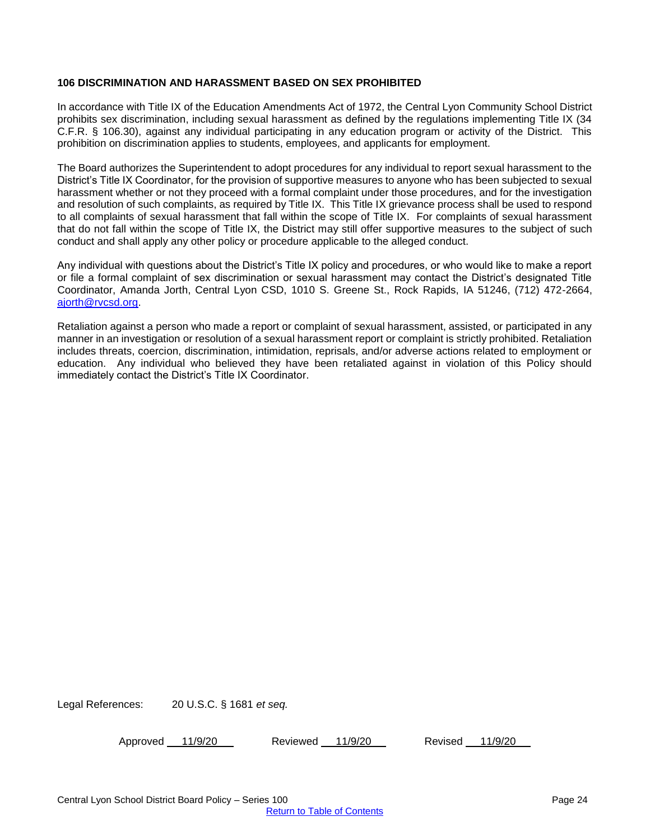#### <span id="page-23-0"></span>**106 DISCRIMINATION AND HARASSMENT BASED ON SEX PROHIBITED**

In accordance with Title IX of the Education Amendments Act of 1972, the Central Lyon Community School District prohibits sex discrimination, including sexual harassment as defined by the regulations implementing Title IX (34 C.F.R. § 106.30), against any individual participating in any education program or activity of the District. This prohibition on discrimination applies to students, employees, and applicants for employment.

The Board authorizes the Superintendent to adopt procedures for any individual to report sexual harassment to the District's Title IX Coordinator, for the provision of supportive measures to anyone who has been subjected to sexual harassment whether or not they proceed with a formal complaint under those procedures, and for the investigation and resolution of such complaints, as required by Title IX. This Title IX grievance process shall be used to respond to all complaints of sexual harassment that fall within the scope of Title IX. For complaints of sexual harassment that do not fall within the scope of Title IX, the District may still offer supportive measures to the subject of such conduct and shall apply any other policy or procedure applicable to the alleged conduct.

Any individual with questions about the District's Title IX policy and procedures, or who would like to make a report or file a formal complaint of sex discrimination or sexual harassment may contact the District's designated Title Coordinator, Amanda Jorth, Central Lyon CSD, 1010 S. Greene St., Rock Rapids, IA 51246, (712) 472-2664, [ajorth@rvcsd.org.](mailto:ajorth@rvcsd.org)

Retaliation against a person who made a report or complaint of sexual harassment, assisted, or participated in any manner in an investigation or resolution of a sexual harassment report or complaint is strictly prohibited. Retaliation includes threats, coercion, discrimination, intimidation, reprisals, and/or adverse actions related to employment or education. Any individual who believed they have been retaliated against in violation of this Policy should immediately contact the District's Title IX Coordinator.

Legal References: 20 U.S.C. § 1681 *et seq.*

Approved 11/9/20 Reviewed 11/9/20 Revised 11/9/20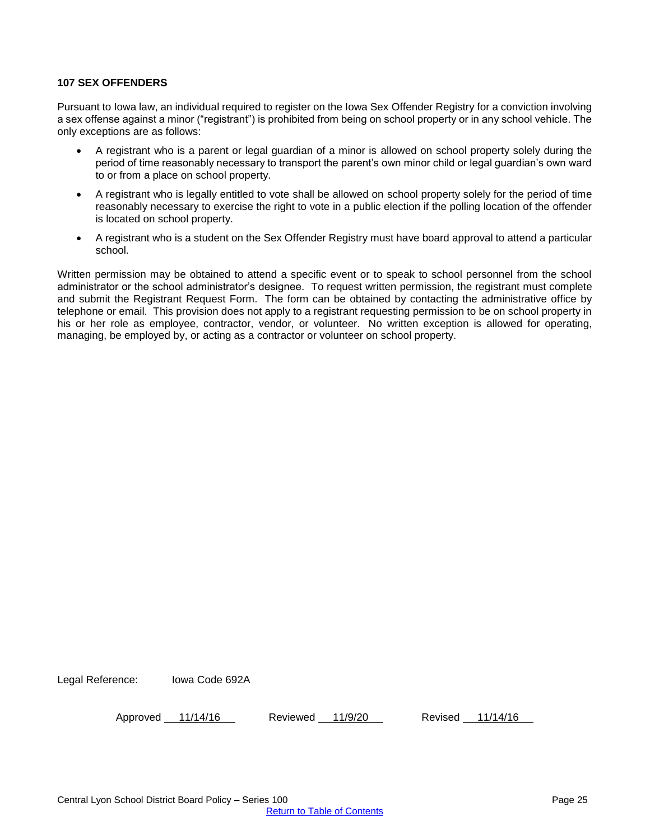#### <span id="page-24-0"></span>**107 SEX OFFENDERS**

Pursuant to Iowa law, an individual required to register on the Iowa Sex Offender Registry for a conviction involving a sex offense against a minor ("registrant") is prohibited from being on school property or in any school vehicle. The only exceptions are as follows:

- A registrant who is a parent or legal guardian of a minor is allowed on school property solely during the period of time reasonably necessary to transport the parent's own minor child or legal guardian's own ward to or from a place on school property.
- A registrant who is legally entitled to vote shall be allowed on school property solely for the period of time reasonably necessary to exercise the right to vote in a public election if the polling location of the offender is located on school property.
- A registrant who is a student on the Sex Offender Registry must have board approval to attend a particular school.

Written permission may be obtained to attend a specific event or to speak to school personnel from the school administrator or the school administrator's designee. To request written permission, the registrant must complete and submit the Registrant Request Form. The form can be obtained by contacting the administrative office by telephone or email. This provision does not apply to a registrant requesting permission to be on school property in his or her role as employee, contractor, vendor, or volunteer. No written exception is allowed for operating, managing, be employed by, or acting as a contractor or volunteer on school property.

Legal Reference: Iowa Code 692A

Approved 11/14/16 Reviewed 11/9/20 Revised 11/14/16